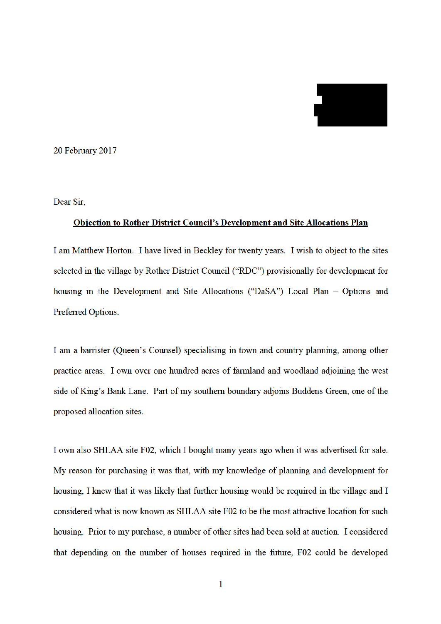2000

20 February 2017

Dear Sir.

## **Objection to Rother District Council's Development and Site Allocations Plan**

I am Matthew Horton. I have lived in Beckley for twenty years. I wish to object to the sites selected in the village by Rother District Council ("RDC") provisionally for development for housing in the Development and Site Allocations ("DaSA") Local Plan - Options and Preferred Options.

I am a barrister (Queen's Counsel) specialising in town and country planning, among other practice areas. I own over one hundred acres of farmland and woodland adjoining the west side of King's Bank Lane. Part of my southern boundary adjoins Buddens Green, one of the proposed allocation sites.

I own also SHLAA site F02, which I bought many years ago when it was advertised for sale. My reason for purchasing it was that, with my knowledge of planning and development for housing, I knew that it was likely that further housing would be required in the village and I considered what is now known as SHLAA site F02 to be the most attractive location for such housing. Prior to my purchase, a number of other sites had been sold at auction. I considered that depending on the number of houses required in the future, F02 could be developed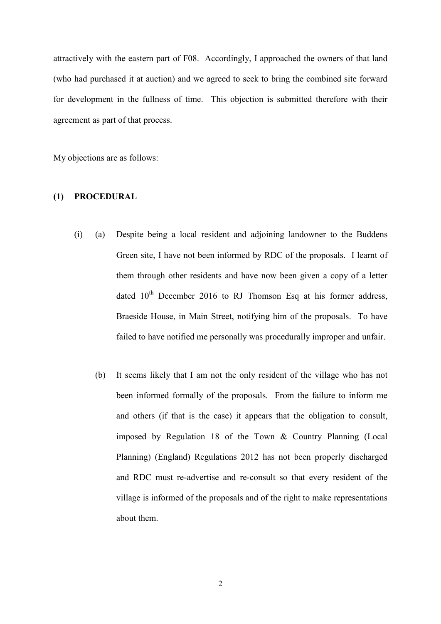attractively with the eastern part of F08. Accordingly, I approached the owners of that land (who had purchased it at auction) and we agreed to seek to bring the combined site forward for development in the fullness of time. This objection is submitted therefore with their agreement as part of that process.

My objections are as follows:

## **(1) PROCEDURAL**

- (i) (a) Despite being a local resident and adjoining landowner to the Buddens Green site, I have not been informed by RDC of the proposals. I learnt of them through other residents and have now been given a copy of a letter dated  $10^{th}$  December 2016 to RJ Thomson Esq at his former address, Braeside House, in Main Street, notifying him of the proposals. To have failed to have notified me personally was procedurally improper and unfair.
	- (b) It seems likely that I am not the only resident of the village who has not been informed formally of the proposals. From the failure to inform me and others (if that is the case) it appears that the obligation to consult, imposed by Regulation 18 of the Town & Country Planning (Local Planning) (England) Regulations 2012 has not been properly discharged and RDC must re-advertise and re-consult so that every resident of the village is informed of the proposals and of the right to make representations about them.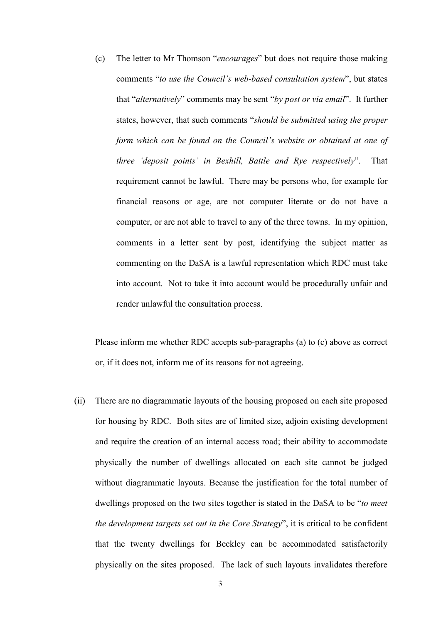(c) The letter to Mr Thomson "*encourages*" but does not require those making comments "*to use the Council's web-based consultation system*", but states that "*alternatively*" comments may be sent "*by post or via email*". It further states, however, that such comments "*should be submitted using the proper form which can be found on the Council's website or obtained at one of three 'deposit points' in Bexhill, Battle and Rye respectively*". That requirement cannot be lawful. There may be persons who, for example for financial reasons or age, are not computer literate or do not have a computer, or are not able to travel to any of the three towns. In my opinion, comments in a letter sent by post, identifying the subject matter as commenting on the DaSA is a lawful representation which RDC must take into account. Not to take it into account would be procedurally unfair and render unlawful the consultation process.

Please inform me whether RDC accepts sub-paragraphs (a) to (c) above as correct or, if it does not, inform me of its reasons for not agreeing.

(ii) There are no diagrammatic layouts of the housing proposed on each site proposed for housing by RDC. Both sites are of limited size, adjoin existing development and require the creation of an internal access road; their ability to accommodate physically the number of dwellings allocated on each site cannot be judged without diagrammatic layouts. Because the justification for the total number of dwellings proposed on the two sites together is stated in the DaSA to be "*to meet the development targets set out in the Core Strategy*", it is critical to be confident that the twenty dwellings for Beckley can be accommodated satisfactorily physically on the sites proposed. The lack of such layouts invalidates therefore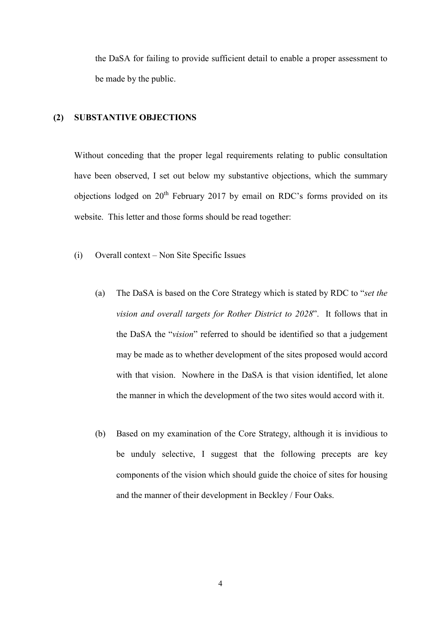the DaSA for failing to provide sufficient detail to enable a proper assessment to be made by the public.

## **(2) SUBSTANTIVE OBJECTIONS**

Without conceding that the proper legal requirements relating to public consultation have been observed, I set out below my substantive objections, which the summary objections lodged on  $20^{th}$  February 2017 by email on RDC's forms provided on its website. This letter and those forms should be read together:

- (i) Overall context Non Site Specific Issues
	- (a) The DaSA is based on the Core Strategy which is stated by RDC to "*set the vision and overall targets for Rother District to 2028*". It follows that in the DaSA the "*vision*" referred to should be identified so that a judgement may be made as to whether development of the sites proposed would accord with that vision. Nowhere in the DaSA is that vision identified, let alone the manner in which the development of the two sites would accord with it.
	- (b) Based on my examination of the Core Strategy, although it is invidious to be unduly selective, I suggest that the following precepts are key components of the vision which should guide the choice of sites for housing and the manner of their development in Beckley / Four Oaks.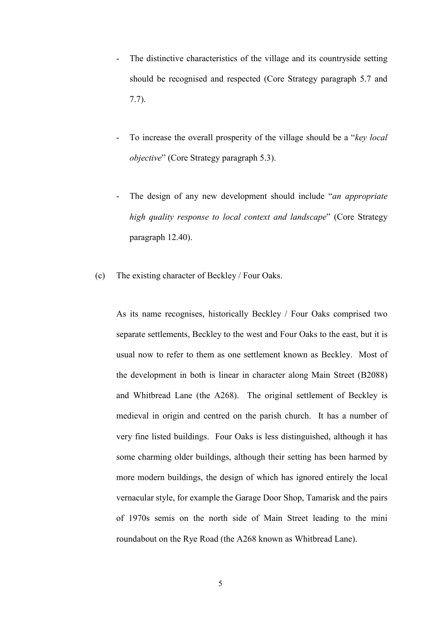- The distinctive characteristics of the village and its countryside setting should be recognised and respected (Core Strategy paragraph 5.7 and 7.7).
- To increase the overall prosperity of the village should be a "*key local objective*" (Core Strategy paragraph 5.3).
- The design of any new development should include "*an appropriate high quality response to local context and landscape*" (Core Strategy paragraph 12.40).
- (c) The existing character of Beckley / Four Oaks.

As its name recognises, historically Beckley / Four Oaks comprised two separate settlements, Beckley to the west and Four Oaks to the east, but it is usual now to refer to them as one settlement known as Beckley. Most of the development in both is linear in character along Main Street (B2088) and Whitbread Lane (the A268). The original settlement of Beckley is medieval in origin and centred on the parish church. It has a number of very fine listed buildings. Four Oaks is less distinguished, although it has some charming older buildings, although their setting has been harmed by more modern buildings, the design of which has ignored entirely the local vernacular style, for example the Garage Door Shop, Tamarisk and the pairs of 1970s semis on the north side of Main Street leading to the mini roundabout on the Rye Road (the A268 known as Whitbread Lane).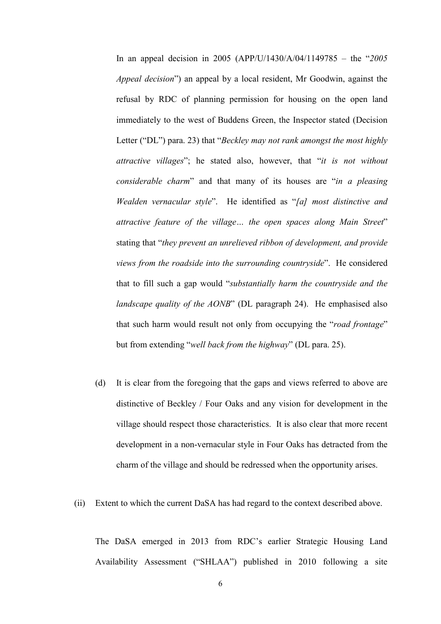In an appeal decision in 2005 (APP/U/1430/A/04/1149785 – the "*2005 Appeal decision*") an appeal by a local resident, Mr Goodwin, against the refusal by RDC of planning permission for housing on the open land immediately to the west of Buddens Green, the Inspector stated (Decision Letter ("DL") para. 23) that "*Beckley may not rank amongst the most highly attractive villages*"; he stated also, however, that "*it is not without considerable charm*" and that many of its houses are "*in a pleasing Wealden vernacular style*". He identified as "*[a] most distinctive and attractive feature of the village… the open spaces along Main Street*" stating that "*they prevent an unrelieved ribbon of development, and provide views from the roadside into the surrounding countryside*". He considered that to fill such a gap would "*substantially harm the countryside and the landscape quality of the AONB*" (DL paragraph 24). He emphasised also that such harm would result not only from occupying the "*road frontage*" but from extending "*well back from the highway*" (DL para. 25).

- (d) It is clear from the foregoing that the gaps and views referred to above are distinctive of Beckley / Four Oaks and any vision for development in the village should respect those characteristics. It is also clear that more recent development in a non-vernacular style in Four Oaks has detracted from the charm of the village and should be redressed when the opportunity arises.
- (ii) Extent to which the current DaSA has had regard to the context described above.

The DaSA emerged in 2013 from RDC's earlier Strategic Housing Land Availability Assessment ("SHLAA") published in 2010 following a site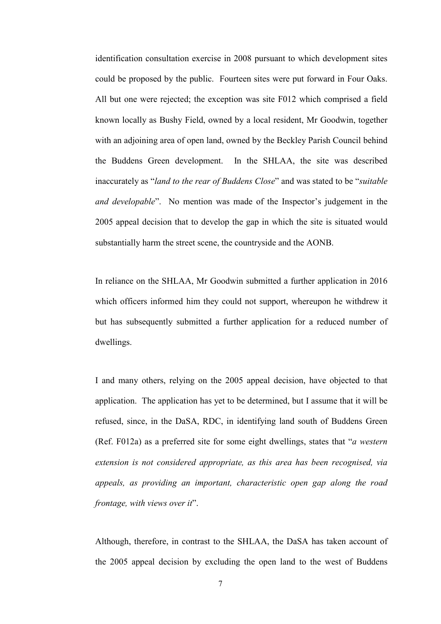identification consultation exercise in 2008 pursuant to which development sites could be proposed by the public. Fourteen sites were put forward in Four Oaks. All but one were rejected; the exception was site F012 which comprised a field known locally as Bushy Field, owned by a local resident, Mr Goodwin, together with an adjoining area of open land, owned by the Beckley Parish Council behind the Buddens Green development. In the SHLAA, the site was described inaccurately as "*land to the rear of Buddens Close*" and was stated to be "*suitable and developable*". No mention was made of the Inspector's judgement in the 2005 appeal decision that to develop the gap in which the site is situated would substantially harm the street scene, the countryside and the AONB.

In reliance on the SHLAA, Mr Goodwin submitted a further application in 2016 which officers informed him they could not support, whereupon he withdrew it but has subsequently submitted a further application for a reduced number of dwellings.

I and many others, relying on the 2005 appeal decision, have objected to that application. The application has yet to be determined, but I assume that it will be refused, since, in the DaSA, RDC, in identifying land south of Buddens Green (Ref. F012a) as a preferred site for some eight dwellings, states that "*a western extension is not considered appropriate, as this area has been recognised, via appeals, as providing an important, characteristic open gap along the road frontage, with views over it*".

Although, therefore, in contrast to the SHLAA, the DaSA has taken account of the 2005 appeal decision by excluding the open land to the west of Buddens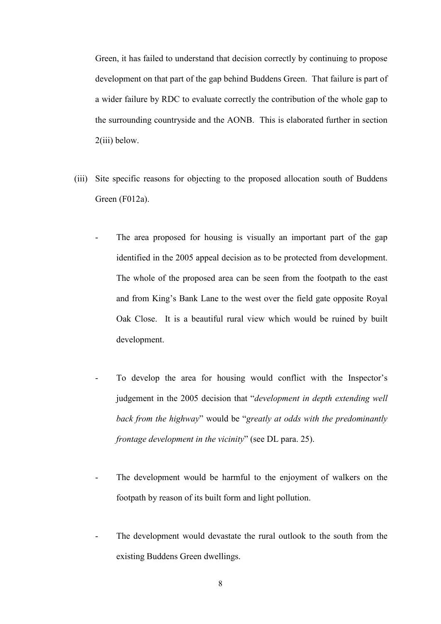Green, it has failed to understand that decision correctly by continuing to propose development on that part of the gap behind Buddens Green. That failure is part of a wider failure by RDC to evaluate correctly the contribution of the whole gap to the surrounding countryside and the AONB. This is elaborated further in section 2(iii) below.

- (iii) Site specific reasons for objecting to the proposed allocation south of Buddens Green (F012a).
	- The area proposed for housing is visually an important part of the gap identified in the 2005 appeal decision as to be protected from development. The whole of the proposed area can be seen from the footpath to the east and from King's Bank Lane to the west over the field gate opposite Royal Oak Close. It is a beautiful rural view which would be ruined by built development.
	- To develop the area for housing would conflict with the Inspector's judgement in the 2005 decision that "*development in depth extending well back from the highway*" would be "*greatly at odds with the predominantly frontage development in the vicinity*" (see DL para. 25).
	- The development would be harmful to the enjoyment of walkers on the footpath by reason of its built form and light pollution.
	- The development would devastate the rural outlook to the south from the existing Buddens Green dwellings.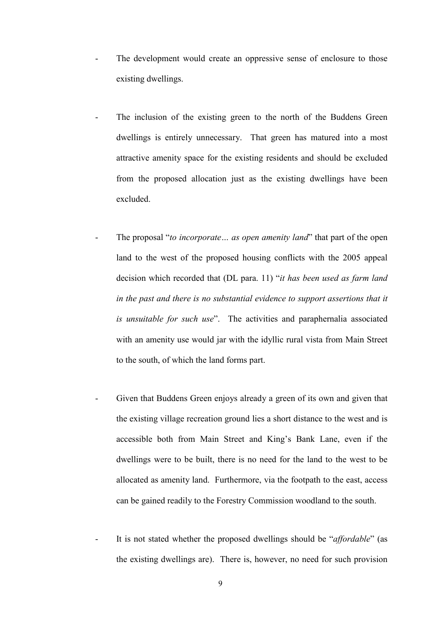- The development would create an oppressive sense of enclosure to those existing dwellings.
- The inclusion of the existing green to the north of the Buddens Green dwellings is entirely unnecessary. That green has matured into a most attractive amenity space for the existing residents and should be excluded from the proposed allocation just as the existing dwellings have been excluded.
- The proposal "*to incorporate*... *as open amenity land*" that part of the open land to the west of the proposed housing conflicts with the 2005 appeal decision which recorded that (DL para. 11) "*it has been used as farm land in the past and there is no substantial evidence to support assertions that it is unsuitable for such use*". The activities and paraphernalia associated with an amenity use would jar with the idyllic rural vista from Main Street to the south, of which the land forms part.
	- Given that Buddens Green enjoys already a green of its own and given that the existing village recreation ground lies a short distance to the west and is accessible both from Main Street and King's Bank Lane, even if the dwellings were to be built, there is no need for the land to the west to be allocated as amenity land. Furthermore, via the footpath to the east, access can be gained readily to the Forestry Commission woodland to the south.
	- It is not stated whether the proposed dwellings should be "*affordable*" (as the existing dwellings are). There is, however, no need for such provision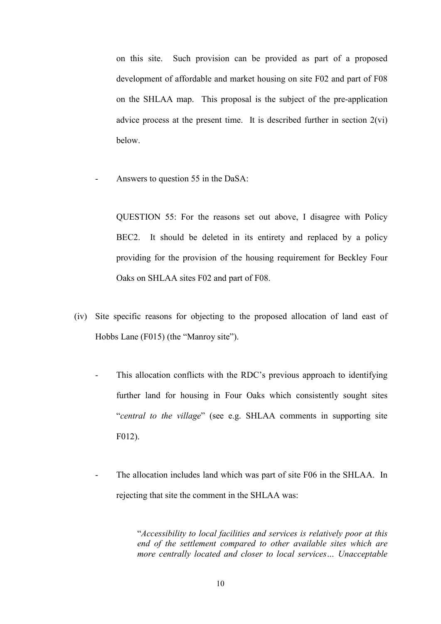on this site. Such provision can be provided as part of a proposed development of affordable and market housing on site F02 and part of F08 on the SHLAA map. This proposal is the subject of the pre-application advice process at the present time. It is described further in section 2(vi) below.

Answers to question 55 in the DaSA:

QUESTION 55: For the reasons set out above, I disagree with Policy BEC2. It should be deleted in its entirety and replaced by a policy providing for the provision of the housing requirement for Beckley Four Oaks on SHLAA sites F02 and part of F08.

- (iv) Site specific reasons for objecting to the proposed allocation of land east of Hobbs Lane (F015) (the "Manroy site").
	- This allocation conflicts with the RDC's previous approach to identifying further land for housing in Four Oaks which consistently sought sites "*central to the village*" (see e.g. SHLAA comments in supporting site F012).
	- The allocation includes land which was part of site F06 in the SHLAA. In rejecting that site the comment in the SHLAA was:

"*Accessibility to local facilities and services is relatively poor at this end of the settlement compared to other available sites which are more centrally located and closer to local services… Unacceptable*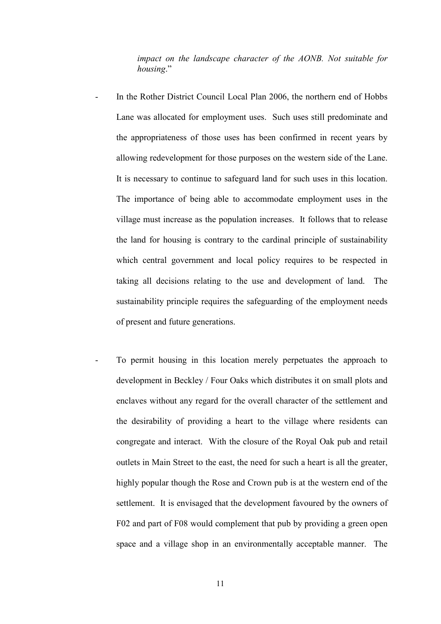*impact on the landscape character of the AONB. Not suitable for housing*."

- In the Rother District Council Local Plan 2006, the northern end of Hobbs Lane was allocated for employment uses. Such uses still predominate and the appropriateness of those uses has been confirmed in recent years by allowing redevelopment for those purposes on the western side of the Lane. It is necessary to continue to safeguard land for such uses in this location. The importance of being able to accommodate employment uses in the village must increase as the population increases. It follows that to release the land for housing is contrary to the cardinal principle of sustainability which central government and local policy requires to be respected in taking all decisions relating to the use and development of land. The sustainability principle requires the safeguarding of the employment needs of present and future generations.
- To permit housing in this location merely perpetuates the approach to development in Beckley / Four Oaks which distributes it on small plots and enclaves without any regard for the overall character of the settlement and the desirability of providing a heart to the village where residents can congregate and interact. With the closure of the Royal Oak pub and retail outlets in Main Street to the east, the need for such a heart is all the greater, highly popular though the Rose and Crown pub is at the western end of the settlement. It is envisaged that the development favoured by the owners of F02 and part of F08 would complement that pub by providing a green open space and a village shop in an environmentally acceptable manner. The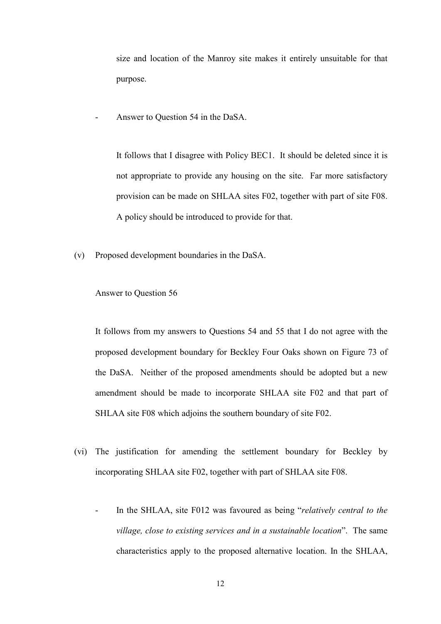size and location of the Manroy site makes it entirely unsuitable for that purpose.

Answer to Question 54 in the DaSA.

It follows that I disagree with Policy BEC1. It should be deleted since it is not appropriate to provide any housing on the site. Far more satisfactory provision can be made on SHLAA sites F02, together with part of site F08. A policy should be introduced to provide for that.

(v) Proposed development boundaries in the DaSA.

## Answer to Question 56

It follows from my answers to Questions 54 and 55 that I do not agree with the proposed development boundary for Beckley Four Oaks shown on Figure 73 of the DaSA. Neither of the proposed amendments should be adopted but a new amendment should be made to incorporate SHLAA site F02 and that part of SHLAA site F08 which adjoins the southern boundary of site F02.

- (vi) The justification for amending the settlement boundary for Beckley by incorporating SHLAA site F02, together with part of SHLAA site F08.
	- In the SHLAA, site F012 was favoured as being "*relatively central to the village, close to existing services and in a sustainable location*". The same characteristics apply to the proposed alternative location. In the SHLAA,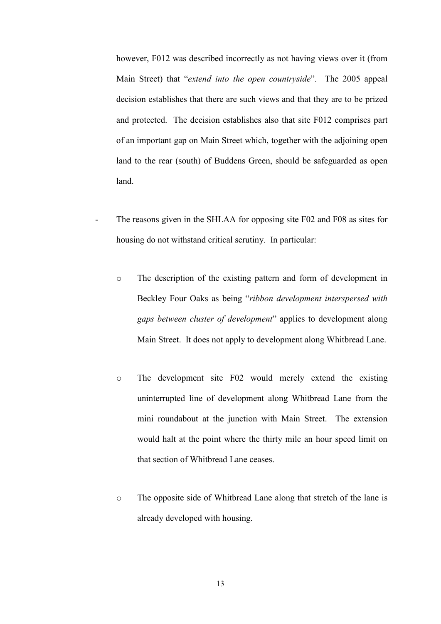however, F012 was described incorrectly as not having views over it (from Main Street) that "*extend into the open countryside*". The 2005 appeal decision establishes that there are such views and that they are to be prized and protected. The decision establishes also that site F012 comprises part of an important gap on Main Street which, together with the adjoining open land to the rear (south) of Buddens Green, should be safeguarded as open land.

- The reasons given in the SHLAA for opposing site F02 and F08 as sites for housing do not withstand critical scrutiny. In particular:
	- o The description of the existing pattern and form of development in Beckley Four Oaks as being "*ribbon development interspersed with gaps between cluster of development*" applies to development along Main Street. It does not apply to development along Whitbread Lane.
	- o The development site F02 would merely extend the existing uninterrupted line of development along Whitbread Lane from the mini roundabout at the junction with Main Street. The extension would halt at the point where the thirty mile an hour speed limit on that section of Whitbread Lane ceases.
	- o The opposite side of Whitbread Lane along that stretch of the lane is already developed with housing.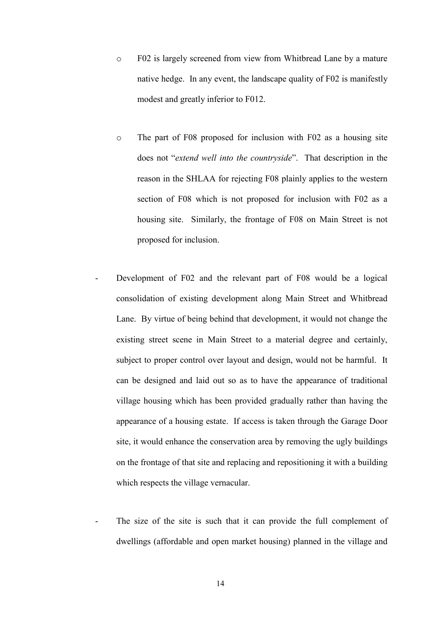- o F02 is largely screened from view from Whitbread Lane by a mature native hedge. In any event, the landscape quality of F02 is manifestly modest and greatly inferior to F012.
- o The part of F08 proposed for inclusion with F02 as a housing site does not "*extend well into the countryside*". That description in the reason in the SHLAA for rejecting F08 plainly applies to the western section of F08 which is not proposed for inclusion with F02 as a housing site. Similarly, the frontage of F08 on Main Street is not proposed for inclusion.
- Development of F02 and the relevant part of F08 would be a logical consolidation of existing development along Main Street and Whitbread Lane. By virtue of being behind that development, it would not change the existing street scene in Main Street to a material degree and certainly, subject to proper control over layout and design, would not be harmful. It can be designed and laid out so as to have the appearance of traditional village housing which has been provided gradually rather than having the appearance of a housing estate. If access is taken through the Garage Door site, it would enhance the conservation area by removing the ugly buildings on the frontage of that site and replacing and repositioning it with a building which respects the village vernacular.
- The size of the site is such that it can provide the full complement of dwellings (affordable and open market housing) planned in the village and